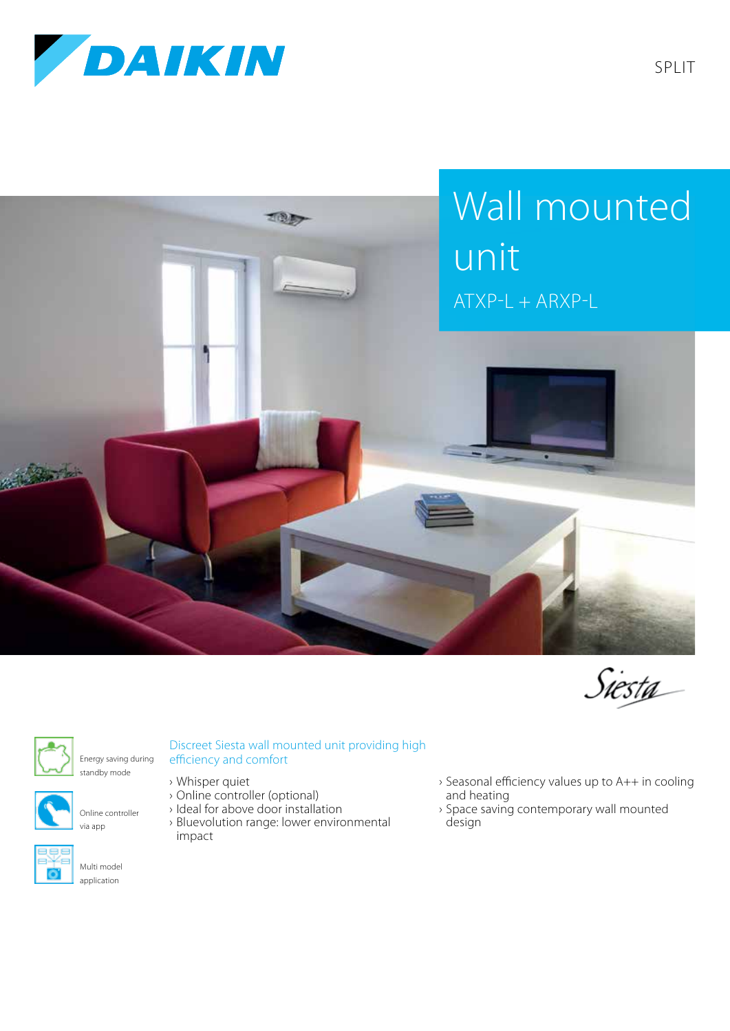







Energy saving during standby mode



Online controller via app



Multi model

## Discreet Siesta wall mounted unit providing high efficiency and comfort

- › Whisper quiet
- › Online controller (optional)
- › Ideal for above door installation
- › Bluevolution range: lower environmental impact
- › Seasonal efficiency values up to A++ in cooling and heating
- › Space saving contemporary wall mounted design